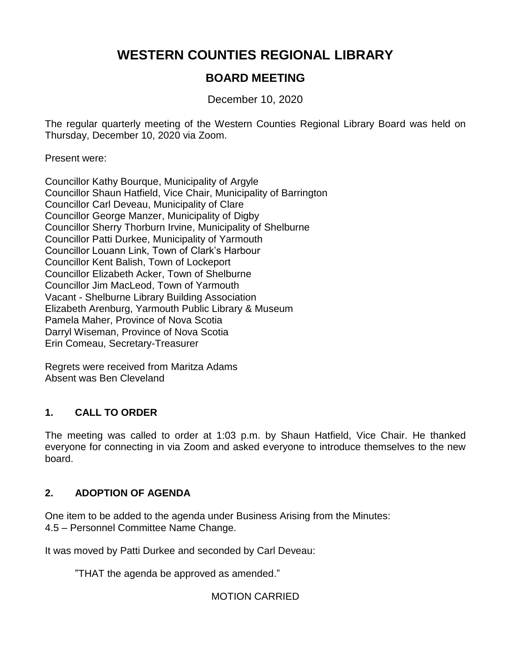# **WESTERN COUNTIES REGIONAL LIBRARY**

# **BOARD MEETING**

December 10, 2020

The regular quarterly meeting of the Western Counties Regional Library Board was held on Thursday, December 10, 2020 via Zoom.

Present were:

Councillor Kathy Bourque, Municipality of Argyle Councillor Shaun Hatfield, Vice Chair, Municipality of Barrington Councillor Carl Deveau, Municipality of Clare Councillor George Manzer, Municipality of Digby Councillor Sherry Thorburn Irvine, Municipality of Shelburne Councillor Patti Durkee, Municipality of Yarmouth Councillor Louann Link, Town of Clark's Harbour Councillor Kent Balish, Town of Lockeport Councillor Elizabeth Acker, Town of Shelburne Councillor Jim MacLeod, Town of Yarmouth Vacant - Shelburne Library Building Association Elizabeth Arenburg, Yarmouth Public Library & Museum Pamela Maher, Province of Nova Scotia Darryl Wiseman, Province of Nova Scotia Erin Comeau, Secretary-Treasurer

Regrets were received from Maritza Adams Absent was Ben Cleveland

# **1. CALL TO ORDER**

The meeting was called to order at 1:03 p.m. by Shaun Hatfield, Vice Chair. He thanked everyone for connecting in via Zoom and asked everyone to introduce themselves to the new board.

# **2. ADOPTION OF AGENDA**

One item to be added to the agenda under Business Arising from the Minutes: 4.5 – Personnel Committee Name Change.

It was moved by Patti Durkee and seconded by Carl Deveau:

"THAT the agenda be approved as amended."

MOTION CARRIED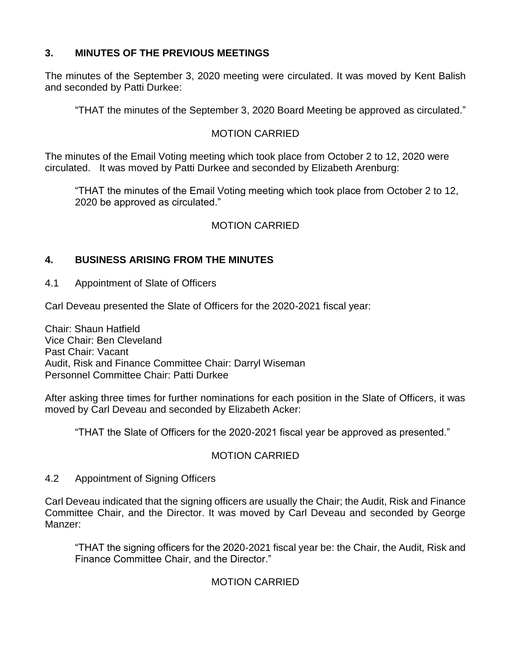## **3. MINUTES OF THE PREVIOUS MEETINGS**

The minutes of the September 3, 2020 meeting were circulated. It was moved by Kent Balish and seconded by Patti Durkee:

"THAT the minutes of the September 3, 2020 Board Meeting be approved as circulated."

## MOTION CARRIED

The minutes of the Email Voting meeting which took place from October 2 to 12, 2020 were circulated. It was moved by Patti Durkee and seconded by Elizabeth Arenburg:

"THAT the minutes of the Email Voting meeting which took place from October 2 to 12, 2020 be approved as circulated."

## MOTION CARRIED

## **4. BUSINESS ARISING FROM THE MINUTES**

4.1 Appointment of Slate of Officers

Carl Deveau presented the Slate of Officers for the 2020-2021 fiscal year:

Chair: Shaun Hatfield Vice Chair: Ben Cleveland Past Chair: Vacant Audit, Risk and Finance Committee Chair: Darryl Wiseman Personnel Committee Chair: Patti Durkee

After asking three times for further nominations for each position in the Slate of Officers, it was moved by Carl Deveau and seconded by Elizabeth Acker:

"THAT the Slate of Officers for the 2020-2021 fiscal year be approved as presented."

## MOTION CARRIED

## 4.2 Appointment of Signing Officers

Carl Deveau indicated that the signing officers are usually the Chair; the Audit, Risk and Finance Committee Chair, and the Director. It was moved by Carl Deveau and seconded by George Manzer:

"THAT the signing officers for the 2020-2021 fiscal year be: the Chair, the Audit, Risk and Finance Committee Chair, and the Director."

## MOTION CARRIED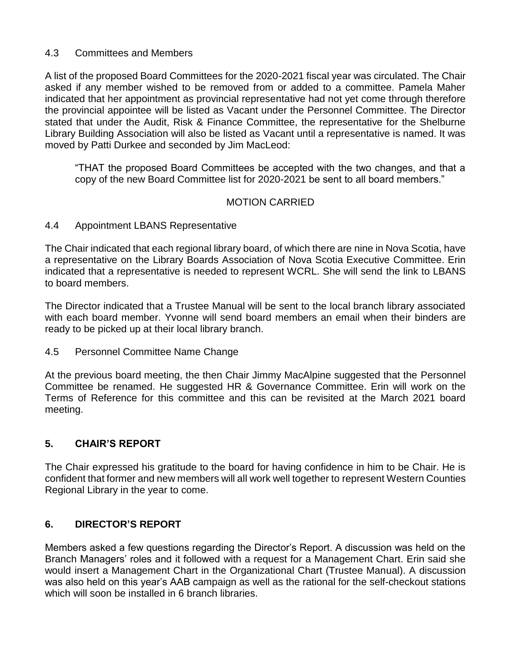#### 4.3 Committees and Members

A list of the proposed Board Committees for the 2020-2021 fiscal year was circulated. The Chair asked if any member wished to be removed from or added to a committee. Pamela Maher indicated that her appointment as provincial representative had not yet come through therefore the provincial appointee will be listed as Vacant under the Personnel Committee. The Director stated that under the Audit, Risk & Finance Committee, the representative for the Shelburne Library Building Association will also be listed as Vacant until a representative is named. It was moved by Patti Durkee and seconded by Jim MacLeod:

"THAT the proposed Board Committees be accepted with the two changes, and that a copy of the new Board Committee list for 2020-2021 be sent to all board members."

## MOTION CARRIED

#### 4.4 Appointment LBANS Representative

The Chair indicated that each regional library board, of which there are nine in Nova Scotia, have a representative on the Library Boards Association of Nova Scotia Executive Committee. Erin indicated that a representative is needed to represent WCRL. She will send the link to LBANS to board members.

The Director indicated that a Trustee Manual will be sent to the local branch library associated with each board member. Yvonne will send board members an email when their binders are ready to be picked up at their local library branch.

#### 4.5 Personnel Committee Name Change

At the previous board meeting, the then Chair Jimmy MacAlpine suggested that the Personnel Committee be renamed. He suggested HR & Governance Committee. Erin will work on the Terms of Reference for this committee and this can be revisited at the March 2021 board meeting.

## **5. CHAIR'S REPORT**

The Chair expressed his gratitude to the board for having confidence in him to be Chair. He is confident that former and new members will all work well together to represent Western Counties Regional Library in the year to come.

## **6. DIRECTOR'S REPORT**

Members asked a few questions regarding the Director's Report. A discussion was held on the Branch Managers' roles and it followed with a request for a Management Chart. Erin said she would insert a Management Chart in the Organizational Chart (Trustee Manual). A discussion was also held on this year's AAB campaign as well as the rational for the self-checkout stations which will soon be installed in 6 branch libraries.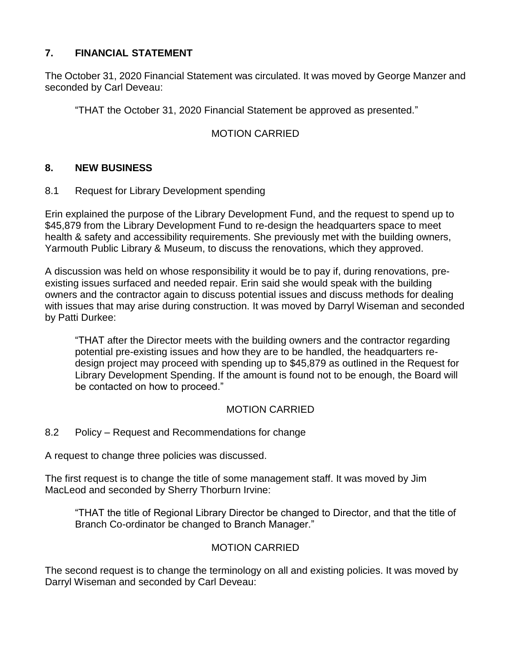# **7. FINANCIAL STATEMENT**

The October 31, 2020 Financial Statement was circulated. It was moved by George Manzer and seconded by Carl Deveau:

"THAT the October 31, 2020 Financial Statement be approved as presented."

# MOTION CARRIED

## **8. NEW BUSINESS**

8.1 Request for Library Development spending

Erin explained the purpose of the Library Development Fund, and the request to spend up to \$45,879 from the Library Development Fund to re-design the headquarters space to meet health & safety and accessibility requirements. She previously met with the building owners, Yarmouth Public Library & Museum, to discuss the renovations, which they approved.

A discussion was held on whose responsibility it would be to pay if, during renovations, preexisting issues surfaced and needed repair. Erin said she would speak with the building owners and the contractor again to discuss potential issues and discuss methods for dealing with issues that may arise during construction. It was moved by Darryl Wiseman and seconded by Patti Durkee:

"THAT after the Director meets with the building owners and the contractor regarding potential pre-existing issues and how they are to be handled, the headquarters redesign project may proceed with spending up to \$45,879 as outlined in the Request for Library Development Spending. If the amount is found not to be enough, the Board will be contacted on how to proceed."

## MOTION CARRIED

8.2 Policy – Request and Recommendations for change

A request to change three policies was discussed.

The first request is to change the title of some management staff. It was moved by Jim MacLeod and seconded by Sherry Thorburn Irvine:

"THAT the title of Regional Library Director be changed to Director, and that the title of Branch Co-ordinator be changed to Branch Manager."

## MOTION CARRIED

The second request is to change the terminology on all and existing policies. It was moved by Darryl Wiseman and seconded by Carl Deveau: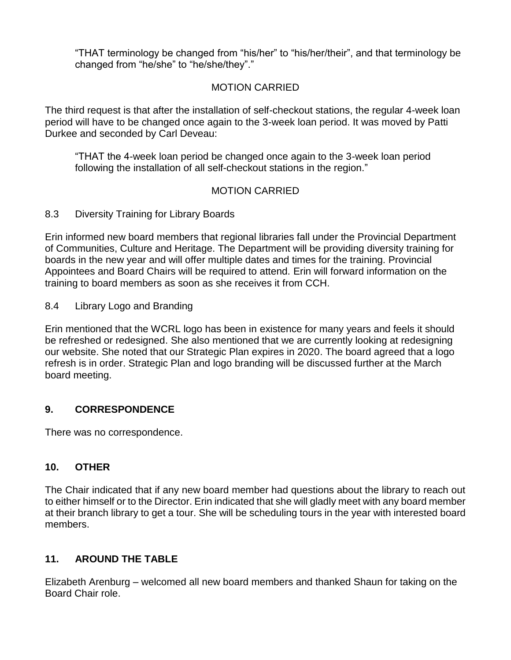"THAT terminology be changed from "his/her" to "his/her/their", and that terminology be changed from "he/she" to "he/she/they"."

## MOTION CARRIED

The third request is that after the installation of self-checkout stations, the regular 4-week loan period will have to be changed once again to the 3-week loan period. It was moved by Patti Durkee and seconded by Carl Deveau:

"THAT the 4-week loan period be changed once again to the 3-week loan period following the installation of all self-checkout stations in the region."

## MOTION CARRIED

8.3 Diversity Training for Library Boards

Erin informed new board members that regional libraries fall under the Provincial Department of Communities, Culture and Heritage. The Department will be providing diversity training for boards in the new year and will offer multiple dates and times for the training. Provincial Appointees and Board Chairs will be required to attend. Erin will forward information on the training to board members as soon as she receives it from CCH.

8.4 Library Logo and Branding

Erin mentioned that the WCRL logo has been in existence for many years and feels it should be refreshed or redesigned. She also mentioned that we are currently looking at redesigning our website. She noted that our Strategic Plan expires in 2020. The board agreed that a logo refresh is in order. Strategic Plan and logo branding will be discussed further at the March board meeting.

## **9. CORRESPONDENCE**

There was no correspondence.

## **10. OTHER**

The Chair indicated that if any new board member had questions about the library to reach out to either himself or to the Director. Erin indicated that she will gladly meet with any board member at their branch library to get a tour. She will be scheduling tours in the year with interested board members.

## **11. AROUND THE TABLE**

Elizabeth Arenburg – welcomed all new board members and thanked Shaun for taking on the Board Chair role.